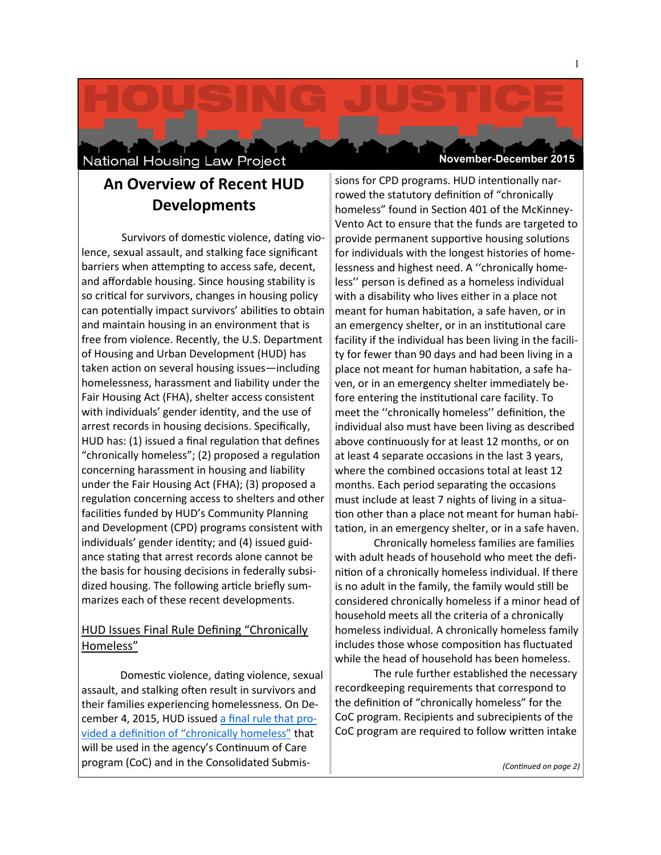National Housing Law Project

**November-December 2015**

# **An Overview of Recent HUD Developments**

Survivors of domestic violence, dating violence, sexual assault, and stalking face significant barriers when attempting to access safe, decent, and affordable housing. Since housing stability is so critical for survivors, changes in housing policy can potentially impact survivors' abilities to obtain and maintain housing in an environment that is free from violence. Recently, the U.S. Department of Housing and Urban Development (HUD) has taken action on several housing issues—including homelessness, harassment and liability under the Fair Housing Act (FHA), shelter access consistent with individuals' gender identity, and the use of arrest records in housing decisions. Specifically, HUD has: (1) issued a final regulation that defines "chronically homeless"; (2) proposed a regulation concerning harassment in housing and liability under the Fair Housing Act (FHA); (3) proposed a regulation concerning access to shelters and other facilities funded by HUD's Community Planning and Development (CPD) programs consistent with individuals' gender identity; and (4) issued guidance stating that arrest records alone cannot be the basis for housing decisions in federally subsidized housing. The following article briefly summarizes each of these recent developments.

## HUD Issues Final Rule Defining "Chronically Homeless"

Domestic violence, dating violence, sexual assault, and stalking often result in survivors and their families experiencing homelessness. On December 4, 2015, HUD issued [a final rule that pro](https://www.hudexchange.info/resources/documents/Defining-Chronically-Homeless-Final-Rule.pdf)[vided a definition of "chronically homeless"](https://www.hudexchange.info/resources/documents/Defining-Chronically-Homeless-Final-Rule.pdf) that will be used in the agency's Continuum of Care program (CoC) and in the Consolidated Submissions for CPD programs. HUD intentionally narrowed the statutory definition of "chronically homeless" found in Section 401 of the McKinney-Vento Act to ensure that the funds are targeted to provide permanent supportive housing solutions for individuals with the longest histories of homelessness and highest need. A ''chronically homeless'' person is defined as a homeless individual with a disability who lives either in a place not meant for human habitation, a safe haven, or in an emergency shelter, or in an institutional care facility if the individual has been living in the facility for fewer than 90 days and had been living in a place not meant for human habitation, a safe haven, or in an emergency shelter immediately before entering the institutional care facility. To meet the ''chronically homeless'' definition, the individual also must have been living as described above continuously for at least 12 months, or on at least 4 separate occasions in the last 3 years, where the combined occasions total at least 12 months. Each period separating the occasions must include at least 7 nights of living in a situation other than a place not meant for human habitation, in an emergency shelter, or in a safe haven.

Chronically homeless families are families with adult heads of household who meet the definition of a chronically homeless individual. If there is no adult in the family, the family would still be considered chronically homeless if a minor head of household meets all the criteria of a chronically homeless individual. A chronically homeless family includes those whose composition has fluctuated while the head of household has been homeless.

The rule further established the necessary recordkeeping requirements that correspond to the definition of "chronically homeless" for the CoC program. Recipients and subrecipients of the CoC program are required to follow written intake

*(Continued on page 2)*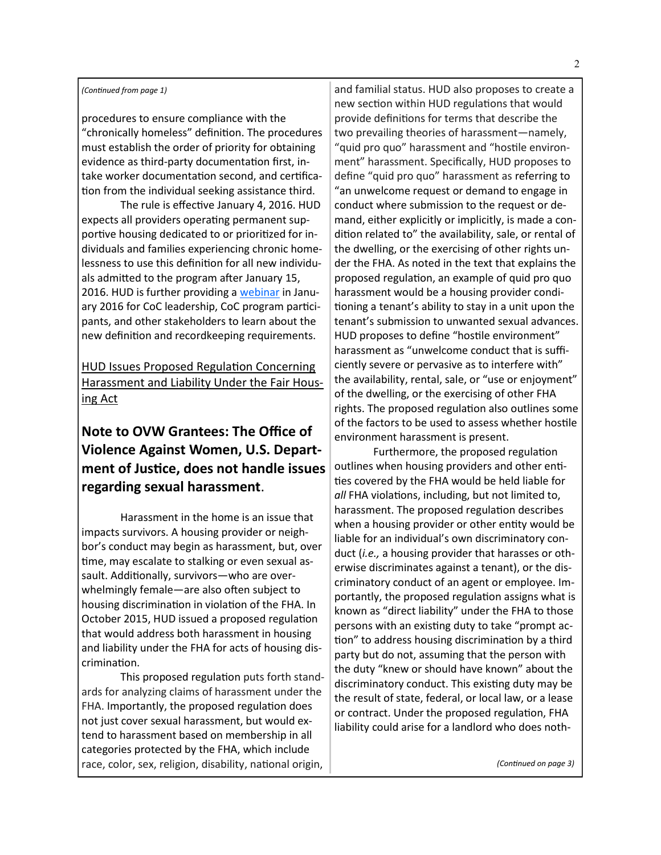### *(Continued from page 1)*

procedures to ensure compliance with the "chronically homeless" definition. The procedures must establish the order of priority for obtaining evidence as third-party documentation first, intake worker documentation second, and certification from the individual seeking assistance third.

The rule is effective January 4, 2016. HUD expects all providers operating permanent supportive housing dedicated to or prioritized for individuals and families experiencing chronic homelessness to use this definition for all new individuals admitted to the program after January 15, 2016. HUD is further providing a [webinar](https://www.hudexchange.info/training-events/courses/defining-chronically-homeless-final-rule-webinar/) in January 2016 for CoC leadership, CoC program participants, and other stakeholders to learn about the new definition and recordkeeping requirements.

HUD Issues Proposed Regulation Concerning Harassment and Liability Under the Fair Housing Act

## **Note to OVW Grantees: The Office of Violence Against Women, U.S. Department of Justice, does not handle issues regarding sexual harassment**.

Harassment in the home is an issue that impacts survivors. A housing provider or neighbor's conduct may begin as harassment, but, over time, may escalate to stalking or even sexual assault. Additionally, survivors—who are overwhelmingly female—are also often subject to housing discrimination in violation of the FHA. In October 2015, HUD issued a proposed regulation that would address both harassment in housing and liability under the FHA for acts of housing discrimination.

This proposed regulation puts forth standards for analyzing claims of harassment under the FHA. Importantly, the proposed regulation does not just cover sexual harassment, but would extend to harassment based on membership in all categories protected by the FHA, which include race, color, sex, religion, disability, national origin,

and familial status. HUD also proposes to create a new section within HUD regulations that would provide definitions for terms that describe the two prevailing theories of harassment—namely, "quid pro quo" harassment and "hostile environment" harassment. Specifically, HUD proposes to define "quid pro quo" harassment as referring to "an unwelcome request or demand to engage in conduct where submission to the request or demand, either explicitly or implicitly, is made a condition related to" the availability, sale, or rental of the dwelling, or the exercising of other rights under the FHA. As noted in the text that explains the proposed regulation, an example of quid pro quo harassment would be a housing provider conditioning a tenant's ability to stay in a unit upon the tenant's submission to unwanted sexual advances. HUD proposes to define "hostile environment" harassment as "unwelcome conduct that is sufficiently severe or pervasive as to interfere with" the availability, rental, sale, or "use or enjoyment" of the dwelling, or the exercising of other FHA rights. The proposed regulation also outlines some of the factors to be used to assess whether hostile environment harassment is present.

Furthermore, the proposed regulation outlines when housing providers and other entities covered by the FHA would be held liable for *all* FHA violations, including, but not limited to, harassment. The proposed regulation describes when a housing provider or other entity would be liable for an individual's own discriminatory conduct (*i.e.,* a housing provider that harasses or otherwise discriminates against a tenant), or the discriminatory conduct of an agent or employee. Importantly, the proposed regulation assigns what is known as "direct liability" under the FHA to those persons with an existing duty to take "prompt action" to address housing discrimination by a third party but do not, assuming that the person with the duty "knew or should have known" about the discriminatory conduct. This existing duty may be the result of state, federal, or local law, or a lease or contract. Under the proposed regulation, FHA liability could arise for a landlord who does noth-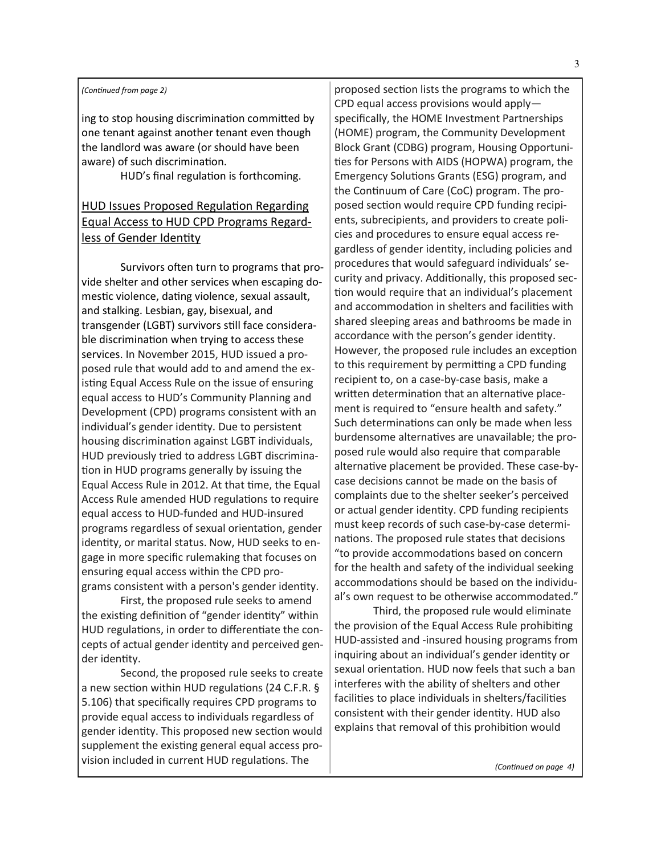### *(Continued from page 2)*

ing to stop housing discrimination committed by one tenant against another tenant even though the landlord was aware (or should have been aware) of such discrimination.

HUD's final regulation is forthcoming.

## HUD Issues Proposed Regulation Regarding Equal Access to HUD CPD Programs Regardless of Gender Identity

Survivors often turn to programs that provide shelter and other services when escaping domestic violence, dating violence, sexual assault, and stalking. Lesbian, gay, bisexual, and transgender (LGBT) survivors still face considerable discrimination when trying to access these services. In November 2015, HUD issued a proposed rule that would add to and amend the existing Equal Access Rule on the issue of ensuring equal access to HUD's Community Planning and Development (CPD) programs consistent with an individual's gender identity. Due to persistent housing discrimination against LGBT individuals, HUD previously tried to address LGBT discrimination in HUD programs generally by issuing the Equal Access Rule in 2012. At that time, the Equal Access Rule amended HUD regulations to require equal access to HUD-funded and HUD-insured programs regardless of sexual orientation, gender identity, or marital status. Now, HUD seeks to engage in more specific rulemaking that focuses on ensuring equal access within the CPD programs consistent with a person's gender identity.

First, the proposed rule seeks to amend the existing definition of "gender identity" within HUD regulations, in order to differentiate the concepts of actual gender identity and perceived gender identity.

Second, the proposed rule seeks to create a new section within HUD regulations (24 C.F.R. § 5.106) that specifically requires CPD programs to provide equal access to individuals regardless of gender identity. This proposed new section would supplement the existing general equal access provision included in current HUD regulations. The

proposed section lists the programs to which the CPD equal access provisions would apply specifically, the HOME Investment Partnerships (HOME) program, the Community Development Block Grant (CDBG) program, Housing Opportunities for Persons with AIDS (HOPWA) program, the Emergency Solutions Grants (ESG) program, and the Continuum of Care (CoC) program. The proposed section would require CPD funding recipients, subrecipients, and providers to create policies and procedures to ensure equal access regardless of gender identity, including policies and procedures that would safeguard individuals' security and privacy. Additionally, this proposed section would require that an individual's placement and accommodation in shelters and facilities with shared sleeping areas and bathrooms be made in accordance with the person's gender identity. However, the proposed rule includes an exception to this requirement by permitting a CPD funding recipient to, on a case-by-case basis, make a written determination that an alternative placement is required to "ensure health and safety." Such determinations can only be made when less burdensome alternatives are unavailable; the proposed rule would also require that comparable alternative placement be provided. These case-bycase decisions cannot be made on the basis of complaints due to the shelter seeker's perceived or actual gender identity. CPD funding recipients must keep records of such case-by-case determinations. The proposed rule states that decisions "to provide accommodations based on concern for the health and safety of the individual seeking accommodations should be based on the individual's own request to be otherwise accommodated."

Third, the proposed rule would eliminate the provision of the Equal Access Rule prohibiting HUD-assisted and -insured housing programs from inquiring about an individual's gender identity or sexual orientation. HUD now feels that such a ban interferes with the ability of shelters and other facilities to place individuals in shelters/facilities consistent with their gender identity. HUD also explains that removal of this prohibition would

*(Continued on page 4)*